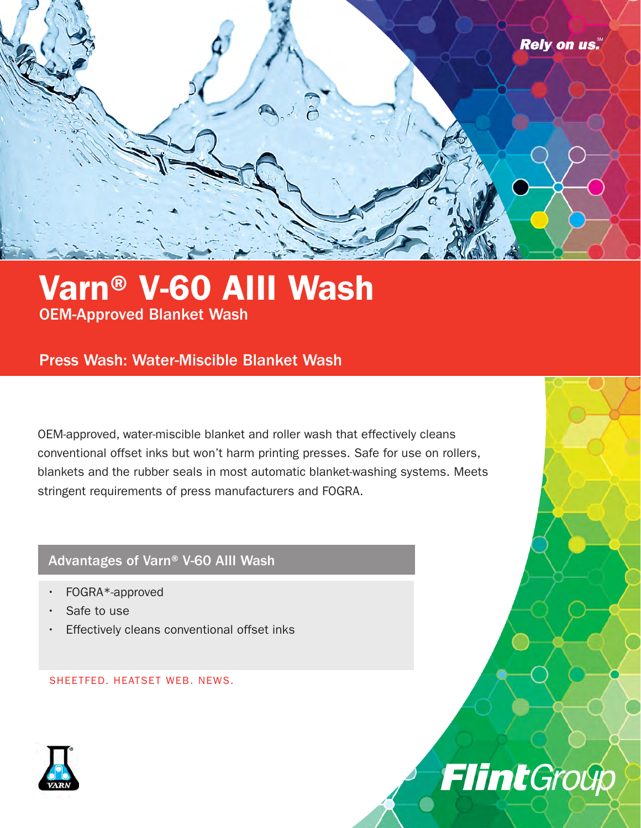

## Varn® V-60 AIII Wash OEM-Approved Blanket Wash

### Press Wash: Water-Miscible Blanket Wash

OEM-approved, water-miscible blanket and roller wash that effectively cleans conventional offset inks but won't harm printing presses. Safe for use on rollers, blankets and the rubber seals in most automatic blanket-washing systems. Meets stringent requirements of press manufacturers and FOGRA.

#### Advantages of Varn® V-60 AIII Wash

- FOGRA\*-approved
- Safe to use
- Effectively cleans conventional offset inks

SHEETFED. HEATSET WEB. NEWS.